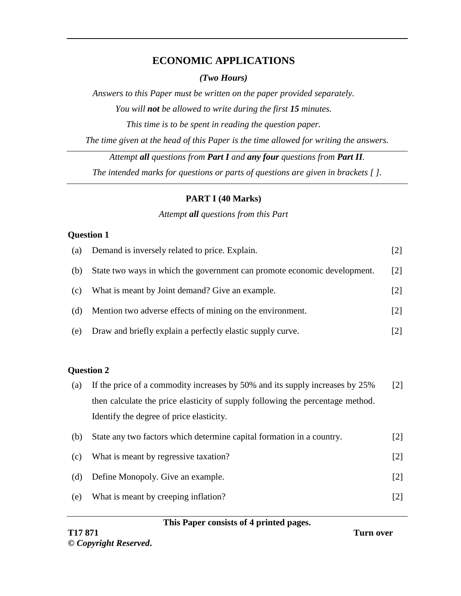# **ECONOMIC APPLICATIONS**

*(Two Hours)*

*Answers to this Paper must be written on the paper provided separately. You will not be allowed to write during the first 15 minutes. This time is to be spent in reading the question paper. The time given at the head of this Paper is the time allowed for writing the answers.*

*Attempt all questions from Part I and any four questions from Part II. The intended marks for questions or parts of questions are given in brackets [ ].*

#### **PART I (40 Marks)**

#### *Attempt all questions from this Part*

#### **Question 1**

| (a) | Demand is inversely related to price. Explain.                                 | $[2]$             |
|-----|--------------------------------------------------------------------------------|-------------------|
| (b) | State two ways in which the government can promote economic development.       | $\lceil 2 \rceil$ |
| (c) | What is meant by Joint demand? Give an example.                                | $[2]$             |
| (d) | Mention two adverse effects of mining on the environment.                      | $\lceil 2 \rceil$ |
| (e) | Draw and briefly explain a perfectly elastic supply curve.                     | $[2]$             |
|     |                                                                                |                   |
|     | <b>Question 2</b>                                                              |                   |
| (a) | If the price of a commodity increases by 50% and its supply increases by 25%   | $\lceil 2 \rceil$ |
|     | then calculate the price elasticity of supply following the percentage method. |                   |
|     |                                                                                |                   |

Identify the degree of price elasticity.

| (b) | State any two factors which determine capital formation in a country. | [2]               |
|-----|-----------------------------------------------------------------------|-------------------|
| (c) | What is meant by regressive taxation?                                 | $\lceil 2 \rceil$ |
| (d) | Define Monopoly. Give an example.                                     | [2]               |
| (e) | What is meant by creeping inflation?                                  |                   |

#### **This Paper consists of 4 printed pages.**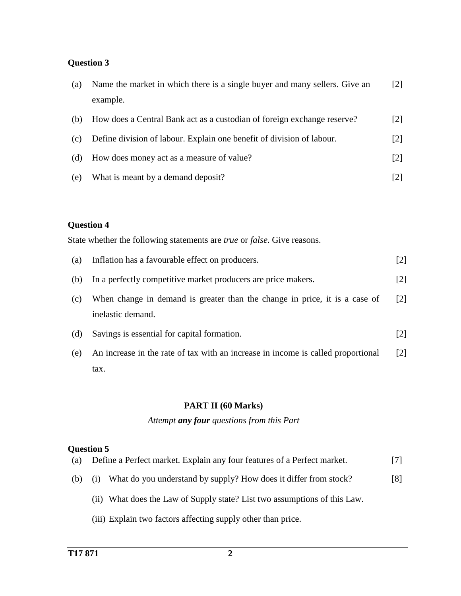#### **Question 3**

| (a) | Name the market in which there is a single buyer and many sellers. Give an | $\lceil 2 \rceil$ |
|-----|----------------------------------------------------------------------------|-------------------|
|     | example.                                                                   |                   |
| (b) | How does a Central Bank act as a custodian of foreign exchange reserve?    | $\lceil 2 \rceil$ |
| (c) | Define division of labour. Explain one benefit of division of labour.      | $\lceil 2 \rceil$ |
| (d) | How does money act as a measure of value?                                  | $\lceil 2 \rceil$ |
| (e) | What is meant by a demand deposit?                                         |                   |

## **Question 4**

State whether the following statements are *true* or *false*. Give reasons.

| (a) | Inflation has a favourable effect on producers.                                                 | $[2]$             |
|-----|-------------------------------------------------------------------------------------------------|-------------------|
| (b) | In a perfectly competitive market producers are price makers.                                   | $\lceil 2 \rceil$ |
| (c) | When change in demand is greater than the change in price, it is a case of<br>inelastic demand. | $\lceil 2 \rceil$ |
| (d) | Savings is essential for capital formation.                                                     | [2]               |
| (e) | An increase in the rate of tax with an increase in income is called proportional                | $\lceil 2 \rceil$ |
|     | tax.                                                                                            |                   |

#### **PART II (60 Marks)**

*Attempt any four questions from this Part*

#### **Question 5**

|  | (a) Define a Perfect market. Explain any four features of a Perfect market. | $[7]$ |
|--|-----------------------------------------------------------------------------|-------|
|--|-----------------------------------------------------------------------------|-------|

- (b) (i) What do you understand by supply? How does it differ from stock? [8]
	- (ii) What does the Law of Supply state? List two assumptions of this Law.
	- (iii) Explain two factors affecting supply other than price.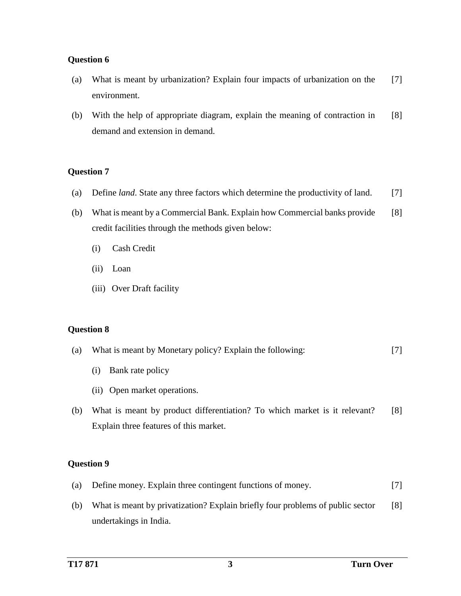#### **Question 6**

- (a) What is meant by urbanization? Explain four impacts of urbanization on the environment. [7]
- (b) With the help of appropriate diagram, explain the meaning of contraction in demand and extension in demand. [8]

#### **Question 7**

- (a) Define *land*. State any three factors which determine the productivity of land. [7]
- (b) What is meant by a Commercial Bank. Explain how Commercial banks provide credit facilities through the methods given below: [8]
	- (i) Cash Credit
	- (ii) Loan
	- (iii) Over Draft facility

#### **Question 8**

| (a) | What is meant by Monetary policy? Explain the following: |  |
|-----|----------------------------------------------------------|--|
|-----|----------------------------------------------------------|--|

- (i) Bank rate policy
- (ii) Open market operations.
- (b) What is meant by product differentiation? To which market is it relevant? Explain three features of this market. [8]

### **Question 9**

- (a) Define money. Explain three contingent functions of money. [7]
- (b) What is meant by privatization? Explain briefly four problems of public sector undertakings in India. [8]